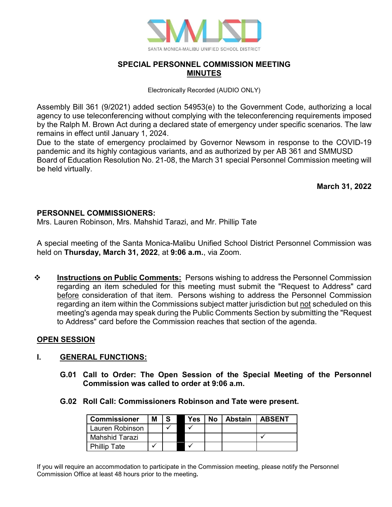

# **SPECIAL PERSONNEL COMMISSION MEETING MINUTES**

Electronically Recorded (AUDIO ONLY)

Assembly Bill 361 (9/2021) added section 54953(e) to the Government Code, authorizing a local agency to use teleconferencing without complying with the teleconferencing requirements imposed by the Ralph M. Brown Act during a declared state of emergency under specific scenarios. The law remains in effect until January 1, 2024.

Due to the state of emergency proclaimed by Governor Newsom in response to the COVID-19 pandemic and its highly contagious variants, and as authorized by per AB 361 and SMMUSD Board of Education Resolution No. 21-08, the March 31 special Personnel Commission meeting will be held virtually.

**March 31, 2022**

### **PERSONNEL COMMISSIONERS:**

Mrs. Lauren Robinson, Mrs. Mahshid Tarazi, and Mr. Phillip Tate

A special meeting of the Santa Monica-Malibu Unified School District Personnel Commission was held on **Thursday, March 31, 2022**, at **9:06 a.m.**, via Zoom.

**<sup>\*</sup>** Instructions on Public Comments: Persons wishing to address the Personnel Commission regarding an item scheduled for this meeting must submit the "Request to Address" card before consideration of that item. Persons wishing to address the Personnel Commission regarding an item within the Commissions subject matter jurisdiction but not scheduled on this meeting's agenda may speak during the Public Comments Section by submitting the "Request to Address" card before the Commission reaches that section of the agenda.

### **OPEN SESSION**

### **I. GENERAL FUNCTIONS:**

- **G.01 Call to Order: The Open Session of the Special Meeting of the Personnel Commission was called to order at 9:06 a.m.**
- **G.02 Roll Call: Commissioners Robinson and Tate were present.**

| <b>Commissioner</b> | Μ |  | Yes | <b>No</b> | Abstain | <b>LABSENT</b> |
|---------------------|---|--|-----|-----------|---------|----------------|
| Lauren Robinson     |   |  |     |           |         |                |
| Mahshid Tarazi      |   |  |     |           |         |                |
| <b>Phillip Tate</b> |   |  |     |           |         |                |

If you will require an accommodation to participate in the Commission meeting, please notify the Personnel Commission Office at least 48 hours prior to the meeting**.**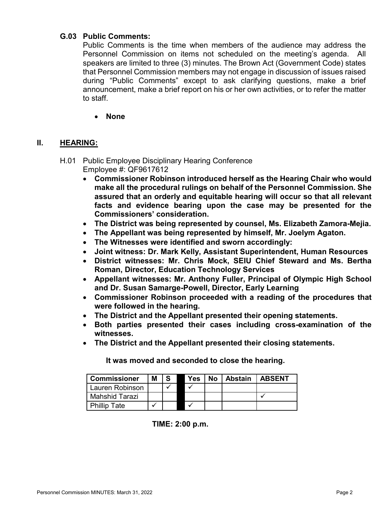## **G.03 Public Comments:**

Public Comments is the time when members of the audience may address the Personnel Commission on items not scheduled on the meeting's agenda. All speakers are limited to three (3) minutes. The Brown Act (Government Code) states that Personnel Commission members may not engage in discussion of issues raised during "Public Comments" except to ask clarifying questions, make a brief announcement, make a brief report on his or her own activities, or to refer the matter to staff.

## • **None**

# **II. HEARING:**

### H.01 Public Employee Disciplinary Hearing Conference Employee #: QF9617612

- **Commissioner Robinson introduced herself as the Hearing Chair who would make all the procedural rulings on behalf of the Personnel Commission. She assured that an orderly and equitable hearing will occur so that all relevant facts and evidence bearing upon the case may be presented for the Commissioners' consideration.**
- **The District was being represented by counsel, Ms. Elizabeth Zamora-Mejia.**
- **The Appellant was being represented by himself, Mr. Joelym Agaton.**
- **The Witnesses were identified and sworn accordingly:**
- **Joint witness: Dr. Mark Kelly, Assistant Superintendent, Human Resources**
- **District witnesses: Mr. Chris Mock, SEIU Chief Steward and Ms. Bertha Roman, Director, Education Technology Services**
- **Appellant witnesses: Mr. Anthony Fuller, Principal of Olympic High School and Dr. Susan Samarge-Powell, Director, Early Learning**
- **Commissioner Robinson proceeded with a reading of the procedures that were followed in the hearing.**
- **The District and the Appellant presented their opening statements.**
- **Both parties presented their cases including cross-examination of the witnesses.**
- **The District and the Appellant presented their closing statements.**

| <b>Commissioner</b> | М | S. | <b>Yes</b> | No l | <b>Abstain   ABSENT</b> |  |
|---------------------|---|----|------------|------|-------------------------|--|
| Lauren Robinson     |   |    |            |      |                         |  |
| Mahshid Tarazi      |   |    |            |      |                         |  |
| <b>Phillip Tate</b> |   |    |            |      |                         |  |

**It was moved and seconded to close the hearing.**

**TIME: 2:00 p.m.**